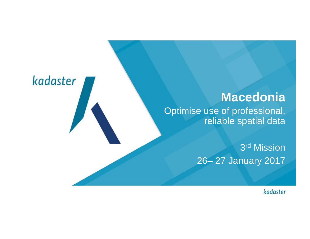#### **Macedonia**

Optimise use of professional, reliable spatial data

kadaster

3 rd Mission 26– 27 January 2017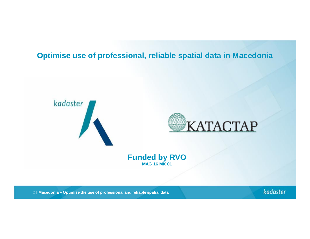#### **Optimise use of professional, reliable spatial data in Macedonia**





**Funded by RVO MAG 16 MK 01**

2 | **Macedonia – Optimise the use of professional and reliable spatial data**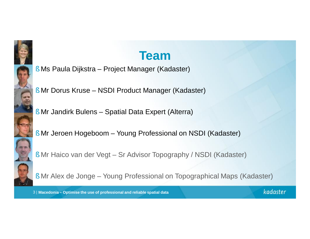

### **Team**

- § Ms Paula Dijkstra Project Manager (Kadaster)
- § Mr Dorus Kruse NSDI Product Manager (Kadaster)
- § Mr Jandirk Bulens Spatial Data Expert (Alterra)
- § Mr Jeroen Hogeboom Young Professional on NSDI (Kadaster)
- § Mr Haico van der Vegt Sr Advisor Topography / NSDI (Kadaster)



§ Mr Alex de Jonge – Young Professional on Topographical Maps (Kadaster)

3 | **Macedonia – Optimise the use of professional and reliable spatial data**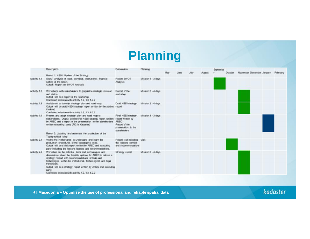# **Planning**

|              | Description                                                                                                                                                                                                                                                                                                                                                                          | Deliverable                                                                                              | Planning           | May | <b>July</b> | <b>August</b> | Septembe | October | November December January |  | Fabruary |
|--------------|--------------------------------------------------------------------------------------------------------------------------------------------------------------------------------------------------------------------------------------------------------------------------------------------------------------------------------------------------------------------------------------|----------------------------------------------------------------------------------------------------------|--------------------|-----|-------------|---------------|----------|---------|---------------------------|--|----------|
|              | Result 1: NSDI: Update of the Strategy                                                                                                                                                                                                                                                                                                                                               |                                                                                                          |                    |     |             |               |          |         |                           |  |          |
| Activity 1.1 | SWOT Analysis of legal, technical, institutional, financial<br>setting of the NSDI.<br>Output: Report on SWOT Analysis                                                                                                                                                                                                                                                               | Report SWOT<br>Analysis                                                                                  | Mission 1 - 3 days |     |             |               |          |         |                           |  |          |
| Activity 1.2 | Workshops with stakeholders to (re)define strategic mission<br>and vision.<br>Output will be a report of the workshop<br>Combined mission with activity 1.2, 1.3 & 2.2                                                                                                                                                                                                               | Report of the<br>workshop                                                                                | Mission 2 - 4 days |     |             |               |          |         |                           |  |          |
| Activity 1.3 | Assistance to develop strategy plan and road map.<br>Output will be draft NSDI strategy report written by the parties report<br>involved.<br>Combined mission with activity 12, 13 & 22                                                                                                                                                                                              | Draft NSDI strategy                                                                                      | Mission 2 - 4 days |     |             |               |          |         |                           |  |          |
| Activity 1.4 | Present and adopt strategy plan and road map to<br>stakeholders. Output will be final NSDI strategy report written.<br>by AREC and a report of the presentation to the stakeholders<br>written executing party (PD: is Kadaster).                                                                                                                                                    | Final NSDI strategy<br>report written by<br>AREC<br>Report of the<br>presentation to the<br>stakeholders | Mission 3 - 3 days |     |             |               |          |         |                           |  |          |
|              | Result 2: Updating and automate the production of the<br>Topographical Map                                                                                                                                                                                                                                                                                                           |                                                                                                          |                    |     |             |               |          |         |                           |  |          |
| Activity 2.1 | Visit to the Netherlands to understand and learn the<br>production procedures of the topographic map.<br>Output will be a visit report written by AREC and executing<br>party including the lessons learned and recommendations.                                                                                                                                                     | Report visit including Visit<br>the lessons learned<br>and recommendations                               |                    |     |             |               |          |         |                           |  |          |
| Activity 2.2 | Workshop on the potential tools and technologies and<br>discussions about the feasible options for AREC to deliver a<br>strategy Report with recommendations of tools and<br>technologies within the institutional, technological and legal<br>framework.<br>Output will be a strategy report written by AREC and executing<br>party.<br>Combined mission with activity 12, 13 & 2.2 | Strategy report                                                                                          | Mission 2 - 4 days |     |             |               |          |         |                           |  |          |

4 | **Macedonia – Optimise the use of professional and reliable spatial data**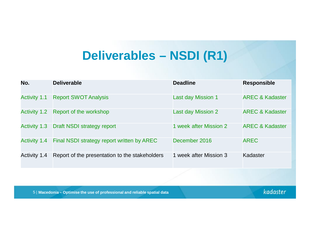# **Deliverables – NSDI (R1)**

| No.                 | <b>Deliverable</b>                             | <b>Deadline</b>           | <b>Responsible</b>         |
|---------------------|------------------------------------------------|---------------------------|----------------------------|
| <b>Activity 1.1</b> | <b>Report SWOT Analysis</b>                    | <b>Last day Mission 1</b> | <b>AREC &amp; Kadaster</b> |
| <b>Activity 1.2</b> | Report of the workshop                         | <b>Last day Mission 2</b> | <b>AREC &amp; Kadaster</b> |
| <b>Activity 1.3</b> | <b>Draft NSDI strategy report</b>              | 1 week after Mission 2    | <b>AREC &amp; Kadaster</b> |
| <b>Activity 1.4</b> | Final NSDI strategy report written by AREC     | December 2016             | <b>AREC</b>                |
| <b>Activity 1.4</b> | Report of the presentation to the stakeholders | 1 week after Mission 3    | Kadaster                   |

5 | **Macedonia – Optimise the use of professional and reliable spatial data**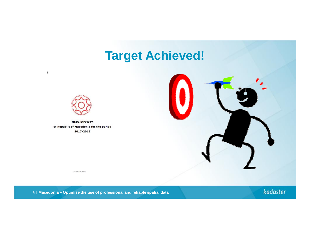## **Target Achieved!**



 $\Gamma$ 

**NSDI Strategy** of Republic of Macedonia for the period 2017-2019



December, 2016



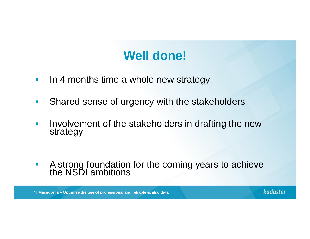# **Well done!**

- In 4 months time a whole new strategy
- Shared sense of urgency with the stakeholders
- Involvement of the stakeholders in drafting the new strategy
- A strong foundation for the coming years to achieve the NSDI ambitions

7 | **Macedonia – Optimise the use of professional and reliable spatial data**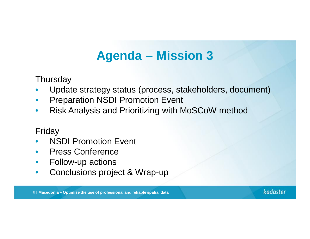# **Agenda – Mission 3**

**Thursday** 

- Update strategy status (process, stakeholders, document)
- Preparation NSDI Promotion Event
- Risk Analysis and Prioritizing with MoSCoW method

#### Friday

- **NSDI Promotion Event**
- Press Conference
- Follow-up actions
- Conclusions project & Wrap-up

8 | **Macedonia – Optimise the use of professional and reliable spatial data**

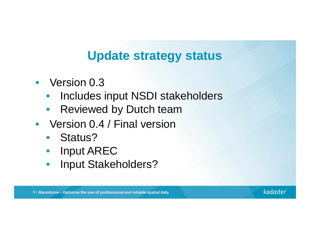### **Update strategy status**

- Version 0.3
	- Includes input NSDI stakeholders
	- Reviewed by Dutch team
- Version 0.4 / Final version
	- Status?
	- Input AREC
	- Input Stakeholders?

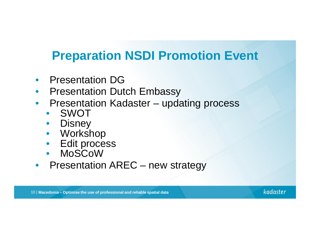# **Preparation NSDI Promotion Event**

- Presentation DG
- **Presentation Dutch Embassy**
- Presentation Kadaster updating process
	- SWOT
	- Disney
	- Workshop
	- Edit process
	- MoSCoW
- Presentation AREC new strategy

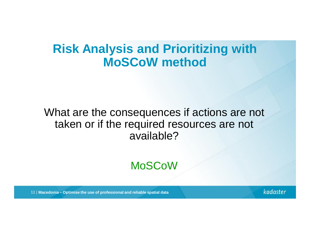#### **Risk Analysis and Prioritizing with MoSCoW method**

#### What are the consequences if actions are not taken or if the required resources are not available?

#### MoSCoW

11 | **Macedonia – Optimise the use of professional and reliable spatial data**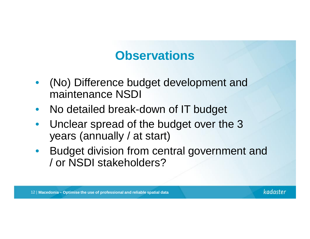# **Observations**

- (No) Difference budget development and maintenance NSDI
- No detailed break-down of IT budget
- Unclear spread of the budget over the 3 years (annually / at start)
- Budget division from central government and / or NSDI stakeholders?

12 | **Macedonia – Optimise the use of professional and reliable spatial data**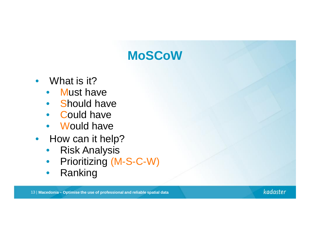# **MoSCoW**

- What is it?
	- **Must have**
	- Should have
	- Could have
	- Would have
- How can it help?
	- Risk Analysis
	- Prioritizing (M-S-C-W)
	- Ranking

13 | **Macedonia – Optimise the use of professional and reliable spatial data**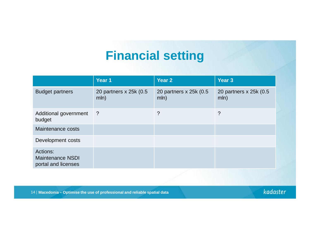# **Financial setting**

|                                                     | Year 1                          | <b>Year 2</b>                   | <b>Year 3</b>                   |
|-----------------------------------------------------|---------------------------------|---------------------------------|---------------------------------|
| <b>Budget partners</b>                              | 20 partners x 25k (0.5)<br>mln) | 20 partners x 25k (0.5)<br>mln) | 20 partners x 25k (0.5)<br>mln) |
| Additional government<br>budget                     | -?                              | ?                               | $\overline{?}$                  |
| Maintenance costs                                   |                                 |                                 |                                 |
| Development costs                                   |                                 |                                 |                                 |
| Actions:<br>Maintenance NSDI<br>portal and licenses |                                 |                                 |                                 |

14 | **Macedonia – Optimise the use of professional and reliable spatial data**